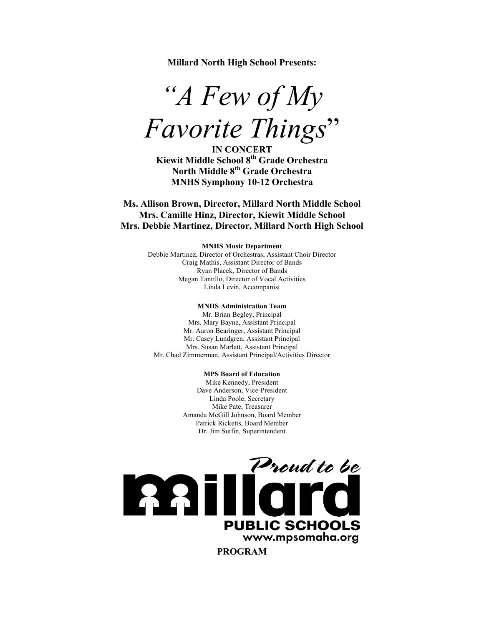**Millard North High School Presents:**

*"A Few of My Favorite Things*"

**IN CONCERT Kiewit Middle School 8th Grade Orchestra North Middle 8th Grade Orchestra MNHS Symphony 10-12 Orchestra**

**Ms. Allison Brown, Director, Millard North Middle School Mrs. Camille Hinz, Director, Kiewit Middle School Mrs. Debbie Martinez, Director, Millard North High School**

#### **MNHS Music Department**

Debbie Martinez, Director of Orchestras, Assistant Choir Director Craig Mathis, Assistant Director of Bands Ryan Placek, Director of Bands Megan Tantillo, Director of Vocal Activities Linda Levin, Accompanist

#### **MNHS Administration Team**

Mr. Brian Begley, Principal Mrs. Mary Bayne, Assistant Principal Mr. Aaron Bearinger, Assistant Principal Mr. Casey Lundgren, Assistant Principal Mrs. Susan Marlatt, Assistant Principal Mr. Chad Zimmerman, Assistant Principal/Activities Director

### **MPS Board of Education**

Mike Kennedy, President Dave Anderson, Vice-President Linda Poole, Secretary Mike Pate, Treasurer Amanda McGill Johnson, Board Member Patrick Ricketts, Board Member Dr. Jim Sutfin, Superintendent

Proud to be **PUBLIC SCHOOLS** www.mpsomaha.org **PROGRAM**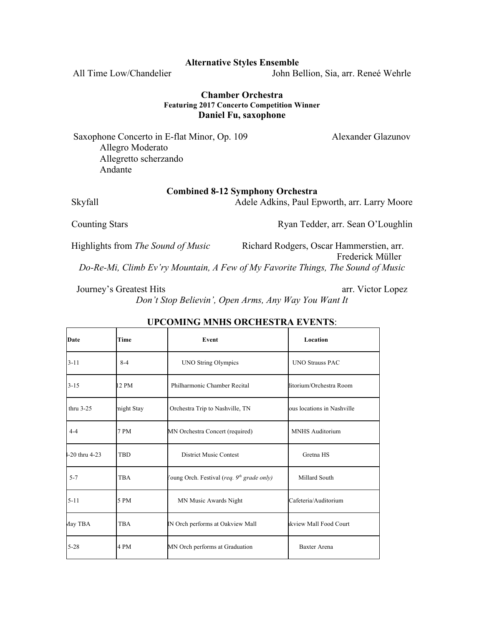## **Alternative Styles Ensemble**

All Time Low/Chandelier John Bellion, Sia, arr. Reneé Wehrle

# **Chamber Orchestra Featuring 2017 Concerto Competition Winner Daniel Fu, saxophone**

Saxophone Concerto in E-flat Minor, Op. 109 Alexander Glazunov Allegro Moderato Allegretto scherzando Andante

# **Combined 8-12 Symphony Orchestra**

Skyfall Adele Adkins, Paul Epworth, arr. Larry Moore

Counting Stars **Counting Stars** Ryan Tedder, arr. Sean O'Loughlin

Highlights from *The Sound of Music* Richard Rodgers, Oscar Hammerstien, arr. Frederick Müller *Do-Re-Mi, Climb Ev'ry Mountain, A Few of My Favorite Things, The Sound of Music*

Journey's Greatest Hits arr. Victor Lopez *Don't Stop Believin', Open Arms, Any Way You Want It*

| Date              | Time        | Event                                                  | Location                   |
|-------------------|-------------|--------------------------------------------------------|----------------------------|
| $3 - 11$          | $8 - 4$     | <b>UNO String Olympics</b>                             | <b>UNO Strauss PAC</b>     |
| $3 - 15$          | 12 PM       | Philharmonic Chamber Recital                           | ditorium/Orchestra Room    |
| thru $3-25$       | might Stay  | Orchestra Trip to Nashville, TN                        | ous locations in Nashville |
| $4 - 4$           | <b>7 PM</b> | MN Orchestra Concert (required)                        | <b>MNHS</b> Auditorium     |
| $-20$ thru $4-23$ | <b>TBD</b>  | <b>District Music Contest</b>                          | Gretna HS                  |
| $5 - 7$           | <b>TBA</b>  | Toung Orch. Festival (req. 9 <sup>th</sup> grade only) | Millard South              |
| $5 - 11$          | 5 PM        | MN Music Awards Night                                  | Cafeteria/Auditorium       |
| Aay TBA           | <b>TBA</b>  | IN Orch performs at Oakview Mall                       | akview Mall Food Court     |
| $5 - 28$          | 4 PM        | MN Orch performs at Graduation                         | <b>Baxter Arena</b>        |

# **UPCOMING MNHS ORCHESTRA EVENTS**: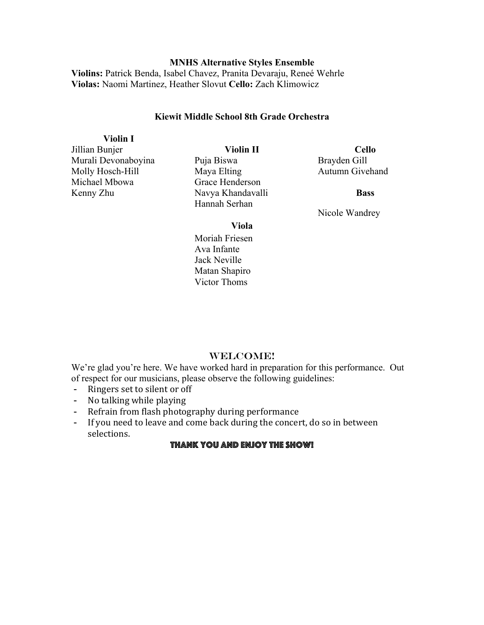# **MNHS Alternative Styles Ensemble**

**Violins:** Patrick Benda, Isabel Chavez, Pranita Devaraju, Reneé Wehrle **Violas:** Naomi Martinez, Heather Slovut **Cello:** Zach Klimowicz

# **Kiewit Middle School 8th Grade Orchestra**

**Violin I**

Murali Devonaboyina Molly Hosch-Hill Michael Mbowa Kenny Zhu

Jillian Bunjer

**Violin II**

Puja Biswa Maya Elting Grace Henderson Navya Khandavalli Hannah Serhan

**Cello** Brayden Gill Autumn Givehand

**Bass**

Nicole Wandrey

**Viola**

Moriah Friesen Ava Infante Jack Neville Matan Shapiro Victor Thoms

# WELCOME!

We're glad you're here. We have worked hard in preparation for this performance. Out of respect for our musicians, please observe the following guidelines:

- Ringers set to silent or off
- No talking while playing
- Refrain from flash photography during performance
- If you need to leave and come back during the concert, do so in between selections.

# Thank you and enjoy the show!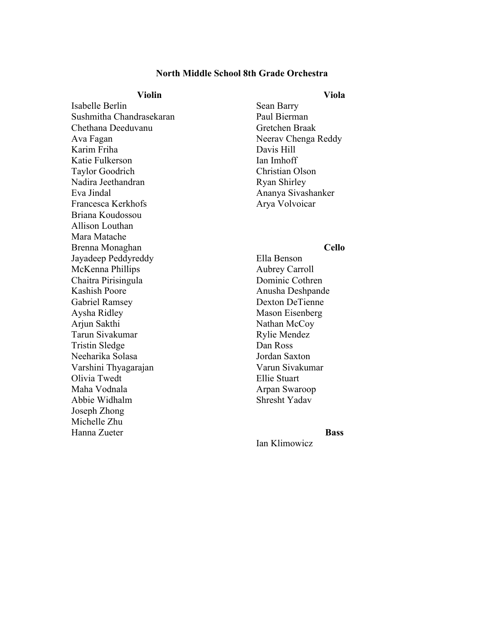## **North Middle School 8th Grade Orchestra**

## **Violin**

Isabelle Berlin Sushmitha Chandrasekaran Chethana Deeduvanu Ava Fagan Karim Friha Katie Fulkerson Taylor Goodrich Nadira Jeethandran Eva Jindal Francesca Kerkhofs Briana Koudossou Allison Louthan Mara Matache Brenna Monaghan Jayadeep Peddyreddy McKenna Phillips Chaitra Pirisingula Kashish Poore Gabriel Ramsey Aysha Ridley Arjun Sakthi Tarun Sivakumar Tristin Sledge Neeharika Solasa Varshini Thyagarajan Olivia Twedt Maha Vodnala Abbie Widhalm Joseph Zhong Michelle Zhu Hanna Zueter

Sean Barry Paul Bierman Gretchen Braak Neerav Chenga Reddy Davis Hill Ian Imhoff Christian Olson Ryan Shirley Ananya Sivashanker Arya Volvoicar

# **Cello**

Ella Benson Aubrey Carroll Dominic Cothren Anusha Deshpande Dexton DeTienne Mason Eisenberg Nathan McCoy Rylie Mendez Dan Ross Jordan Saxton Varun Sivakumar Ellie Stuart Arpan Swaroop Shresht Yadav

## **Bass**

Ian Klimowicz

## **Viola**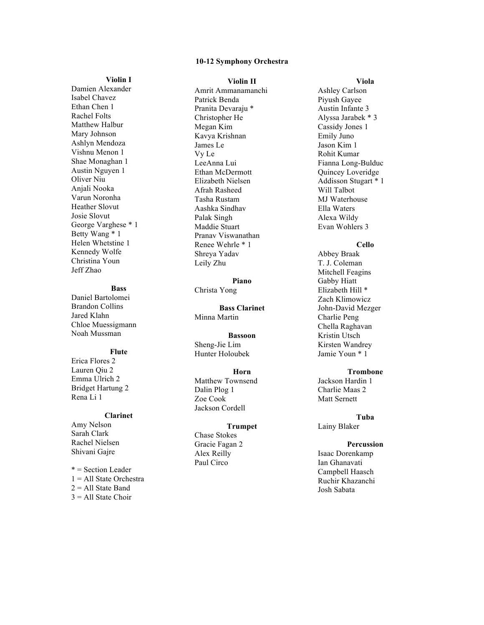#### **10 -12 Symphony Orchestra**

#### **Violin I**

Damien Alexander Isabel Chavez Ethan Chen 1 Rachel Folts Matthew Halbur Mary Johnson Ashlyn Mendoza Vishnu Menon 1 Shae Monaghan 1 Austin Nguyen 1 Oliver Niu Anjali Nooka Varun Noronha Heather Slovut Josie Slovut George Varghese \* 1 Betty Wang \* 1 Helen Whetstine 1 Kennedy Wolfe Christina Youn Jeff Zhao

#### **Bass**

Daniel Bartolomei Brandon Collins Jared Klahn Chloe Muessigmann Noah Mussman

#### **Flute**

Erica Flores 2 Lauren Qiu 2 Emma Ulrich 2 Bridget Hartung 2 Rena Li 1

#### **Clarinet**

Amy Nelson Sarah Clark Rachel Nielsen Shivani Gajre

\* = Section Leader 1 = All State Orchestra  $2 =$  All State Band  $3 = All State Choice$ 

#### **Violin II**

Amrit Ammanamanchi Patrick Benda Pranita Devaraju \* Christopher He Megan Kim Kavya Krishnan James Le Vy Le LeeAnna Lui Ethan McDermott Elizabeth Nielsen Afrah Rasheed Tasha Rustam Aashka Sindhav Palak Singh Maddie Stuart Pranav Viswanathan Renee Wehrle \* 1 Shreya Yadav Leily Zhu

**Piano** Christa Yong

**Bass Clarinet** Minna Martin

#### **Bassoon**

Sheng -Jie Lim Hunter Holoubek

### **Horn**

Matthew Townsend Dalin Plog 1 Zoe Cook Jackson Cordell

#### **Trumpet**

Chase Stokes Gracie Fagan 2 Alex Reilly Paul Circo

#### **Viola**

Ashley Carlson Piyush Gayee Austin Infante 3 Alyssa Jarabek \* 3 Cassidy Jones 1 Emily Juno Jason Kim 1 Rohit Kumar Fianna Long -Bulduc Quincey Loveridge Addisson Stugart \* 1 Will Talbot MJ Waterhouse Ella Waters Alexa Wildy Evan Wohlers 3

### **Cello**

Abbey Braak T. J. Coleman Mitchell Feagins Gabby Hiatt Elizabeth Hill \* Zach Klimowicz John -David Mezger Charlie Peng Chella Raghavan Kristin Utsch Kirsten Wandrey Jamie Youn \* 1

### **Trombone**

Jackson Hardin 1 Charlie Maas 2 Matt Sernett

**Tuba** Lainy Blaker

## **Percussion**

Isaac Dorenkamp Ian Ghanavati Campbell Haasch Ruchir Khazanchi Josh Sabata